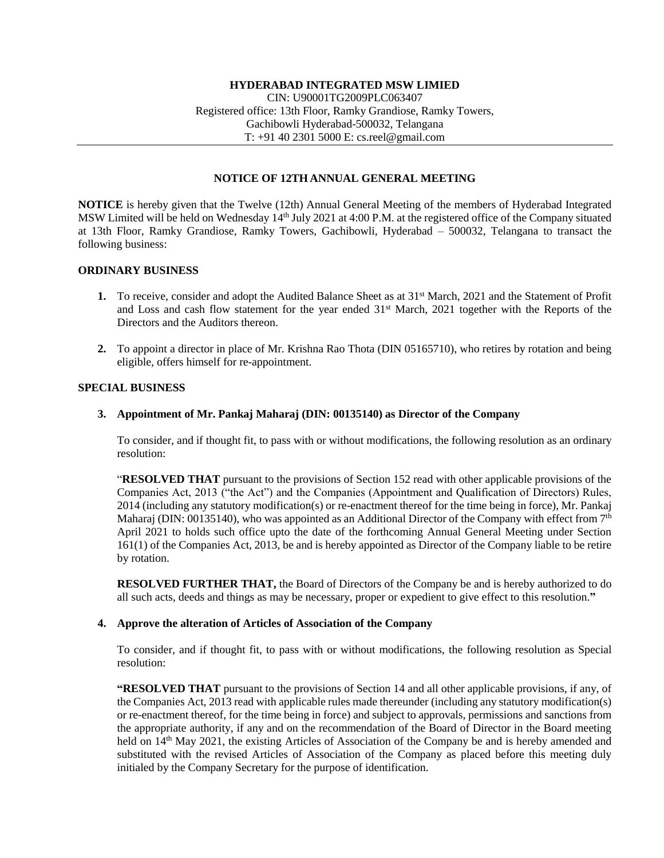## **NOTICE OF 12TH ANNUAL GENERAL MEETING**

**NOTICE** is hereby given that the Twelve (12th) Annual General Meeting of the members of Hyderabad Integrated MSW Limited will be held on Wednesday 14th July 2021 at 4:00 P.M. at the registered office of the Company situated at 13th Floor, Ramky Grandiose, Ramky Towers, Gachibowli, Hyderabad – 500032, Telangana to transact the following business:

## **ORDINARY BUSINESS**

- **1.** To receive, consider and adopt the Audited Balance Sheet as at 31st March, 2021 and the Statement of Profit and Loss and cash flow statement for the year ended 31<sup>st</sup> March, 2021 together with the Reports of the Directors and the Auditors thereon.
- **2.** To appoint a director in place of Mr. Krishna Rao Thota (DIN 05165710), who retires by rotation and being eligible, offers himself for re-appointment.

## **SPECIAL BUSINESS**

## **3. Appointment of Mr. Pankaj Maharaj (DIN: 00135140) as Director of the Company**

To consider, and if thought fit, to pass with or without modifications, the following resolution as an ordinary resolution:

"**RESOLVED THAT** pursuant to the provisions of Section 152 read with other applicable provisions of the Companies Act, 2013 ("the Act") and the Companies (Appointment and Qualification of Directors) Rules, 2014 (including any statutory modification(s) or re-enactment thereof for the time being in force), Mr. Pankaj Maharaj (DIN: 00135140), who was appointed as an Additional Director of the Company with effect from 7<sup>th</sup> April 2021 to holds such office upto the date of the forthcoming Annual General Meeting under Section 161(1) of the Companies Act, 2013, be and is hereby appointed as Director of the Company liable to be retire by rotation.

**RESOLVED FURTHER THAT,** the Board of Directors of the Company be and is hereby authorized to do all such acts, deeds and things as may be necessary, proper or expedient to give effect to this resolution.**"**

## **4. Approve the alteration of Articles of Association of the Company**

To consider, and if thought fit, to pass with or without modifications, the following resolution as Special resolution:

**"RESOLVED THAT** pursuant to the provisions of Section 14 and all other applicable provisions, if any, of the Companies Act, 2013 read with applicable rules made thereunder (including any statutory modification(s) or re-enactment thereof, for the time being in force) and subject to approvals, permissions and sanctions from the appropriate authority, if any and on the recommendation of the Board of Director in the Board meeting held on 14<sup>th</sup> May 2021, the existing Articles of Association of the Company be and is hereby amended and substituted with the revised Articles of Association of the Company as placed before this meeting duly initialed by the Company Secretary for the purpose of identification.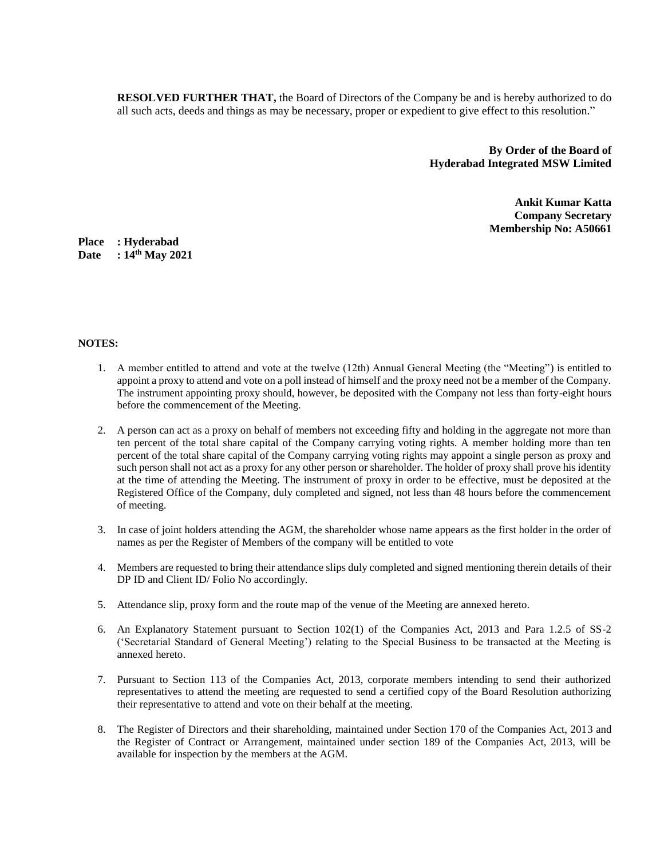**RESOLVED FURTHER THAT,** the Board of Directors of the Company be and is hereby authorized to do all such acts, deeds and things as may be necessary, proper or expedient to give effect to this resolution."

> **By Order of the Board of Hyderabad Integrated MSW Limited**

> > **Ankit Kumar Katta Company Secretary Membership No: A50661**

**Place : Hyderabad Date : 14th May 2021**

#### **NOTES:**

- 1. A member entitled to attend and vote at the twelve (12th) Annual General Meeting (the "Meeting") is entitled to appoint a proxy to attend and vote on a poll instead of himself and the proxy need not be a member of the Company. The instrument appointing proxy should, however, be deposited with the Company not less than forty-eight hours before the commencement of the Meeting.
- 2. A person can act as a proxy on behalf of members not exceeding fifty and holding in the aggregate not more than ten percent of the total share capital of the Company carrying voting rights. A member holding more than ten percent of the total share capital of the Company carrying voting rights may appoint a single person as proxy and such person shall not act as a proxy for any other person or shareholder. The holder of proxy shall prove his identity at the time of attending the Meeting. The instrument of proxy in order to be effective, must be deposited at the Registered Office of the Company, duly completed and signed, not less than 48 hours before the commencement of meeting.
- 3. In case of joint holders attending the AGM, the shareholder whose name appears as the first holder in the order of names as per the Register of Members of the company will be entitled to vote
- 4. Members are requested to bring their attendance slips duly completed and signed mentioning therein details of their DP ID and Client ID/ Folio No accordingly.
- 5. Attendance slip, proxy form and the route map of the venue of the Meeting are annexed hereto.
- 6. An Explanatory Statement pursuant to Section 102(1) of the Companies Act, 2013 and Para 1.2.5 of SS-2 ('Secretarial Standard of General Meeting') relating to the Special Business to be transacted at the Meeting is annexed hereto.
- 7. Pursuant to Section 113 of the Companies Act, 2013, corporate members intending to send their authorized representatives to attend the meeting are requested to send a certified copy of the Board Resolution authorizing their representative to attend and vote on their behalf at the meeting.
- 8. The Register of Directors and their shareholding, maintained under Section 170 of the Companies Act, 2013 and the Register of Contract or Arrangement, maintained under section 189 of the Companies Act, 2013, will be available for inspection by the members at the AGM.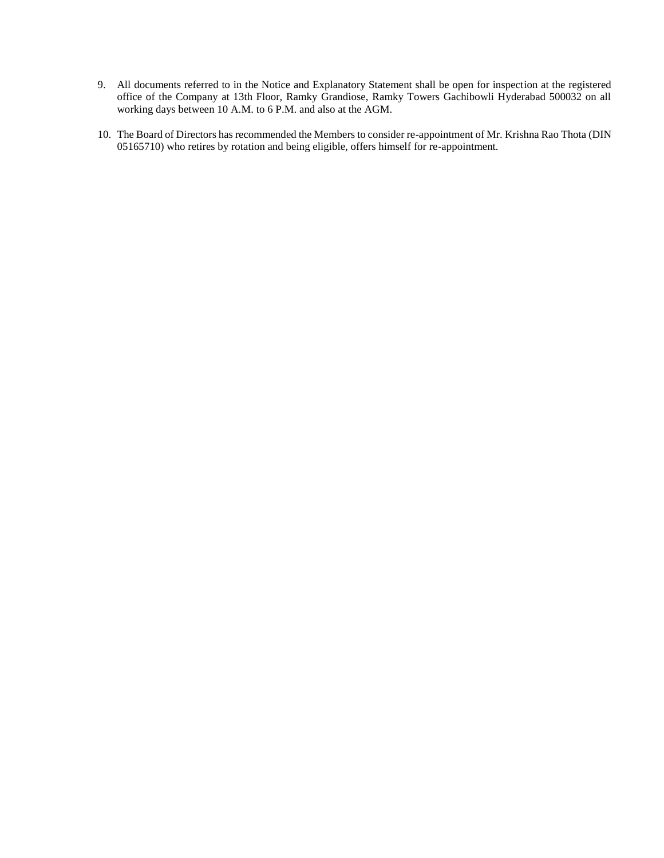- 9. All documents referred to in the Notice and Explanatory Statement shall be open for inspection at the registered office of the Company at 13th Floor, Ramky Grandiose, Ramky Towers Gachibowli Hyderabad 500032 on all working days between 10 A.M. to 6 P.M. and also at the AGM.
- 10. The Board of Directors has recommended the Members to consider re-appointment of Mr. Krishna Rao Thota (DIN 05165710) who retires by rotation and being eligible, offers himself for re-appointment.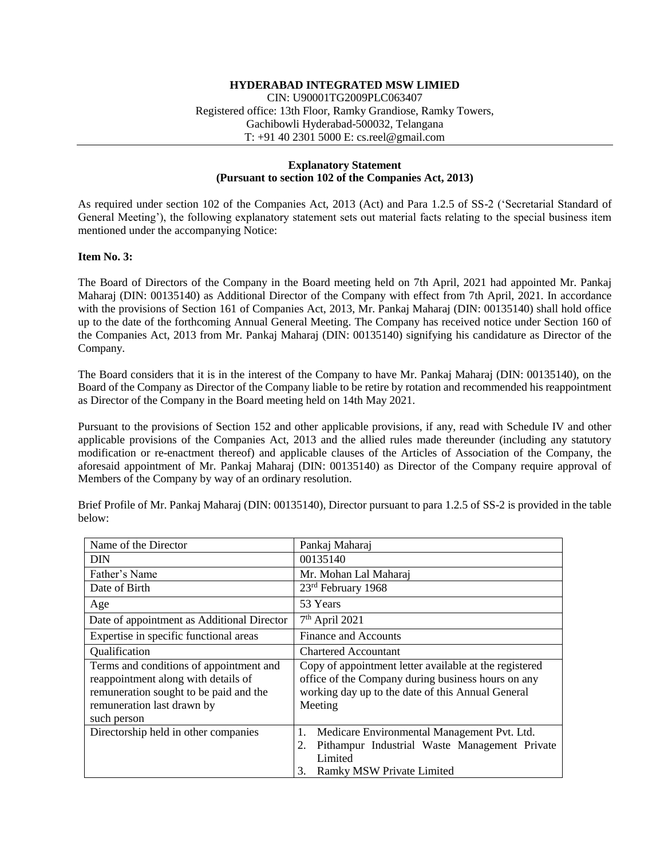# **HYDERABAD INTEGRATED MSW LIMIED**

CIN: U90001TG2009PLC063407 Registered office: 13th Floor, Ramky Grandiose, Ramky Towers, Gachibowli Hyderabad-500032, Telangana T: +91 40 2301 5000 E: cs.reel@gmail.com

## **Explanatory Statement (Pursuant to section 102 of the Companies Act, 2013)**

As required under section 102 of the Companies Act, 2013 (Act) and Para 1.2.5 of SS-2 ('Secretarial Standard of General Meeting'), the following explanatory statement sets out material facts relating to the special business item mentioned under the accompanying Notice:

## **Item No. 3:**

The Board of Directors of the Company in the Board meeting held on 7th April, 2021 had appointed Mr. Pankaj Maharaj (DIN: 00135140) as Additional Director of the Company with effect from 7th April, 2021. In accordance with the provisions of Section 161 of Companies Act, 2013, Mr. Pankaj Maharaj (DIN: 00135140) shall hold office up to the date of the forthcoming Annual General Meeting. The Company has received notice under Section 160 of the Companies Act, 2013 from Mr. Pankaj Maharaj (DIN: 00135140) signifying his candidature as Director of the Company.

The Board considers that it is in the interest of the Company to have Mr. Pankaj Maharaj (DIN: 00135140), on the Board of the Company as Director of the Company liable to be retire by rotation and recommended his reappointment as Director of the Company in the Board meeting held on 14th May 2021.

Pursuant to the provisions of Section 152 and other applicable provisions, if any, read with Schedule IV and other applicable provisions of the Companies Act, 2013 and the allied rules made thereunder (including any statutory modification or re-enactment thereof) and applicable clauses of the Articles of Association of the Company, the aforesaid appointment of Mr. Pankaj Maharaj (DIN: 00135140) as Director of the Company require approval of Members of the Company by way of an ordinary resolution.

| Name of the Director                                                                                                                                                  | Pankaj Maharaj                                                                                                                                                               |
|-----------------------------------------------------------------------------------------------------------------------------------------------------------------------|------------------------------------------------------------------------------------------------------------------------------------------------------------------------------|
| <b>DIN</b>                                                                                                                                                            | 00135140                                                                                                                                                                     |
| Father's Name                                                                                                                                                         | Mr. Mohan Lal Maharaj                                                                                                                                                        |
| Date of Birth                                                                                                                                                         | 23rd February 1968                                                                                                                                                           |
| Age                                                                                                                                                                   | 53 Years                                                                                                                                                                     |
| Date of appointment as Additional Director                                                                                                                            | $7th$ April 2021                                                                                                                                                             |
| Expertise in specific functional areas                                                                                                                                | Finance and Accounts                                                                                                                                                         |
| Qualification                                                                                                                                                         | <b>Chartered Accountant</b>                                                                                                                                                  |
| Terms and conditions of appointment and<br>reappointment along with details of<br>remuneration sought to be paid and the<br>remuneration last drawn by<br>such person | Copy of appointment letter available at the registered<br>office of the Company during business hours on any<br>working day up to the date of this Annual General<br>Meeting |
| Directorship held in other companies                                                                                                                                  | Medicare Environmental Management Pvt. Ltd.<br>1.<br>Pithampur Industrial Waste Management Private<br>2.<br>Limited<br><b>Ramky MSW Private Limited</b><br>3.                |

Brief Profile of Mr. Pankaj Maharaj (DIN: 00135140), Director pursuant to para 1.2.5 of SS-2 is provided in the table below: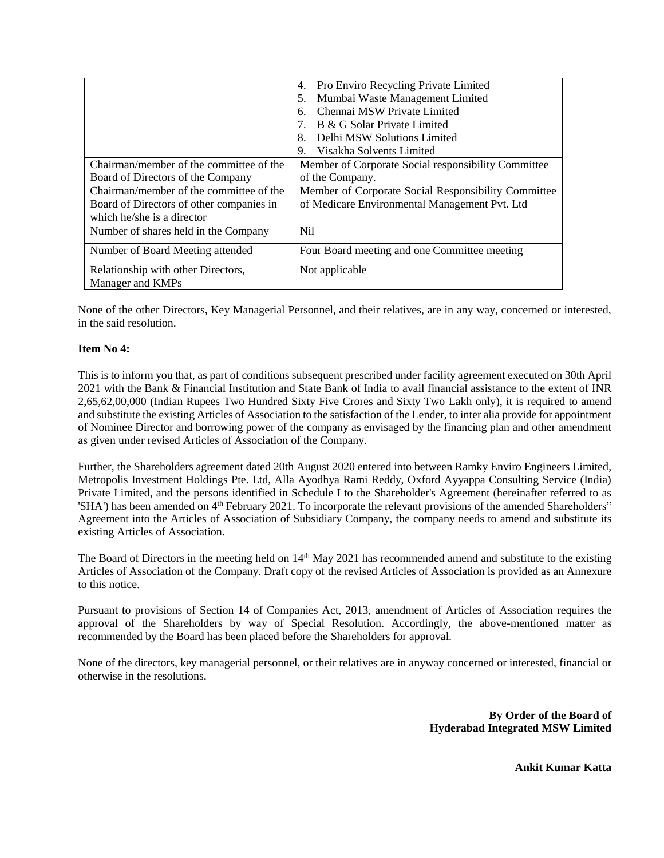|                                          | Pro Enviro Recycling Private Limited<br>4.          |  |
|------------------------------------------|-----------------------------------------------------|--|
|                                          | Mumbai Waste Management Limited<br>5.               |  |
|                                          | Chennai MSW Private Limited<br>6.                   |  |
|                                          | B & G Solar Private Limited                         |  |
|                                          | Delhi MSW Solutions Limited<br>8.                   |  |
|                                          | Visakha Solvents Limited<br>9.                      |  |
| Chairman/member of the committee of the  | Member of Corporate Social responsibility Committee |  |
| Board of Directors of the Company        | of the Company.                                     |  |
| Chairman/member of the committee of the  | Member of Corporate Social Responsibility Committee |  |
| Board of Directors of other companies in | of Medicare Environmental Management Pvt. Ltd       |  |
| which he/she is a director               |                                                     |  |
| Number of shares held in the Company     | N <sub>il</sub>                                     |  |
| Number of Board Meeting attended         | Four Board meeting and one Committee meeting        |  |
| Relationship with other Directors,       | Not applicable                                      |  |
| Manager and KMPs                         |                                                     |  |

None of the other Directors, Key Managerial Personnel, and their relatives, are in any way, concerned or interested, in the said resolution.

## **Item No 4:**

This is to inform you that, as part of conditions subsequent prescribed under facility agreement executed on 30th April 2021 with the Bank & Financial Institution and State Bank of India to avail financial assistance to the extent of INR 2,65,62,00,000 (Indian Rupees Two Hundred Sixty Five Crores and Sixty Two Lakh only), it is required to amend and substitute the existing Articles of Association to the satisfaction of the Lender, to inter alia provide for appointment of Nominee Director and borrowing power of the company as envisaged by the financing plan and other amendment as given under revised Articles of Association of the Company.

Further, the Shareholders agreement dated 20th August 2020 entered into between Ramky Enviro Engineers Limited, Metropolis Investment Holdings Pte. Ltd, Alla Ayodhya Rami Reddy, Oxford Ayyappa Consulting Service (India) Private Limited, and the persons identified in Schedule I to the Shareholder's Agreement (hereinafter referred to as 'SHA') has been amended on 4<sup>th</sup> February 2021. To incorporate the relevant provisions of the amended Shareholders" Agreement into the Articles of Association of Subsidiary Company, the company needs to amend and substitute its existing Articles of Association.

The Board of Directors in the meeting held on  $14<sup>th</sup>$  May 2021 has recommended amend and substitute to the existing Articles of Association of the Company. Draft copy of the revised Articles of Association is provided as an Annexure to this notice.

Pursuant to provisions of Section 14 of Companies Act, 2013, amendment of Articles of Association requires the approval of the Shareholders by way of Special Resolution. Accordingly, the above-mentioned matter as recommended by the Board has been placed before the Shareholders for approval.

None of the directors, key managerial personnel, or their relatives are in anyway concerned or interested, financial or otherwise in the resolutions.

> **By Order of the Board of Hyderabad Integrated MSW Limited**

> > **Ankit Kumar Katta**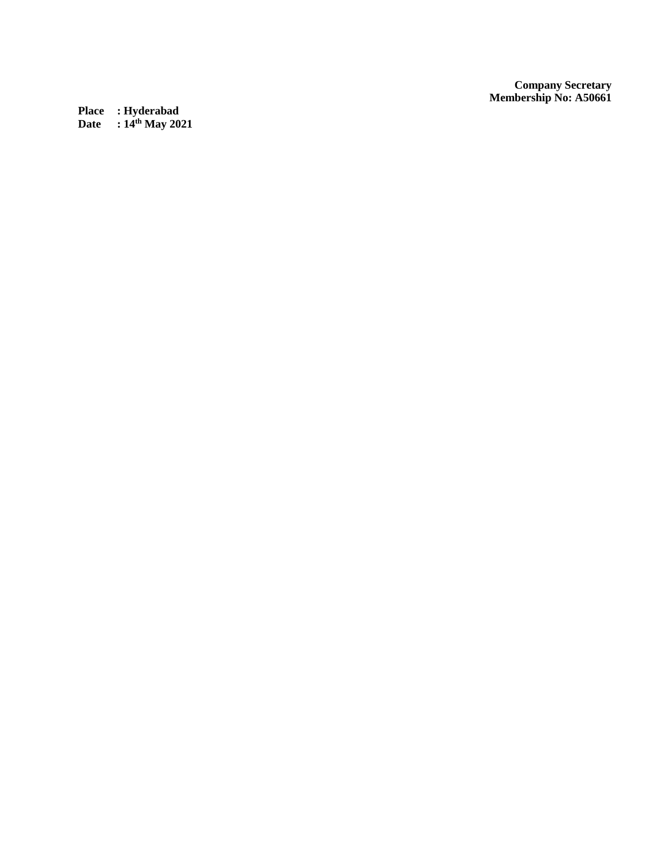*Company Secretary* **Membership No: A50661**

**Place : Hyderabad Date : 14th May 2021**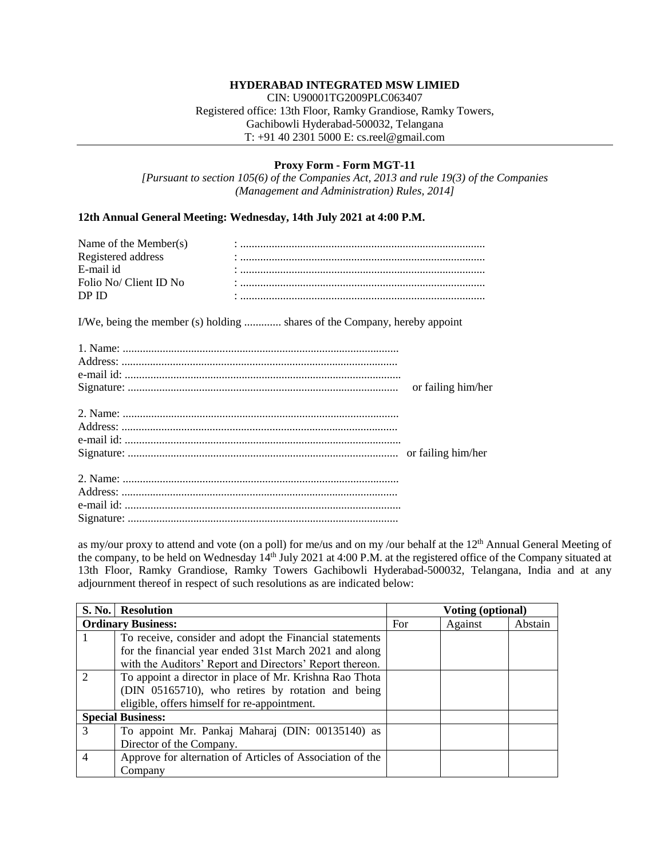## **HYDERABAD INTEGRATED MSW LIMIED**

CIN: U90001TG2009PLC063407 Registered office: 13th Floor, Ramky Grandiose, Ramky Towers, Gachibowli Hyderabad-500032, Telangana T: +91 40 2301 5000 E: cs.reel@gmail.com

#### **Proxy Form - Form MGT-11**

*[Pursuant to section 105(6) of the Companies Act, 2013 and rule 19(3) of the Companies (Management and Administration) Rules, 2014]*

#### **12th Annual General Meeting: Wednesday, 14th July 2021 at 4:00 P.M.**

| Name of the Member $(s)$ |  |
|--------------------------|--|
| Registered address       |  |
| E-mail id                |  |
| Folio No/ Client ID No   |  |
| DP ID                    |  |
|                          |  |

I/We, being the member (s) holding ............. shares of the Company, hereby appoint

| or failing him/her |
|--------------------|
|                    |
|                    |
|                    |
|                    |
|                    |
|                    |
|                    |
|                    |
|                    |
|                    |

as my/our proxy to attend and vote (on a poll) for me/us and on my /our behalf at the 12<sup>th</sup> Annual General Meeting of the company, to be held on Wednesday 14<sup>th</sup> July 2021 at 4:00 P.M. at the registered office of the Company situated at 13th Floor, Ramky Grandiose, Ramky Towers Gachibowli Hyderabad-500032, Telangana, India and at any adjournment thereof in respect of such resolutions as are indicated below:

|               | S. No.   Resolution                                       |     | <b>Voting (optional)</b> |         |
|---------------|-----------------------------------------------------------|-----|--------------------------|---------|
|               | <b>Ordinary Business:</b>                                 | For | Against                  | Abstain |
|               | To receive, consider and adopt the Financial statements   |     |                          |         |
|               | for the financial year ended 31st March 2021 and along    |     |                          |         |
|               | with the Auditors' Report and Directors' Report thereon.  |     |                          |         |
| $\mathcal{D}$ | To appoint a director in place of Mr. Krishna Rao Thota   |     |                          |         |
|               | (DIN 05165710), who retires by rotation and being         |     |                          |         |
|               | eligible, offers himself for re-appointment.              |     |                          |         |
|               | <b>Special Business:</b>                                  |     |                          |         |
| $\mathcal{R}$ | To appoint Mr. Pankaj Maharaj (DIN: 00135140) as          |     |                          |         |
|               | Director of the Company.                                  |     |                          |         |
|               | Approve for alternation of Articles of Association of the |     |                          |         |
|               | Company                                                   |     |                          |         |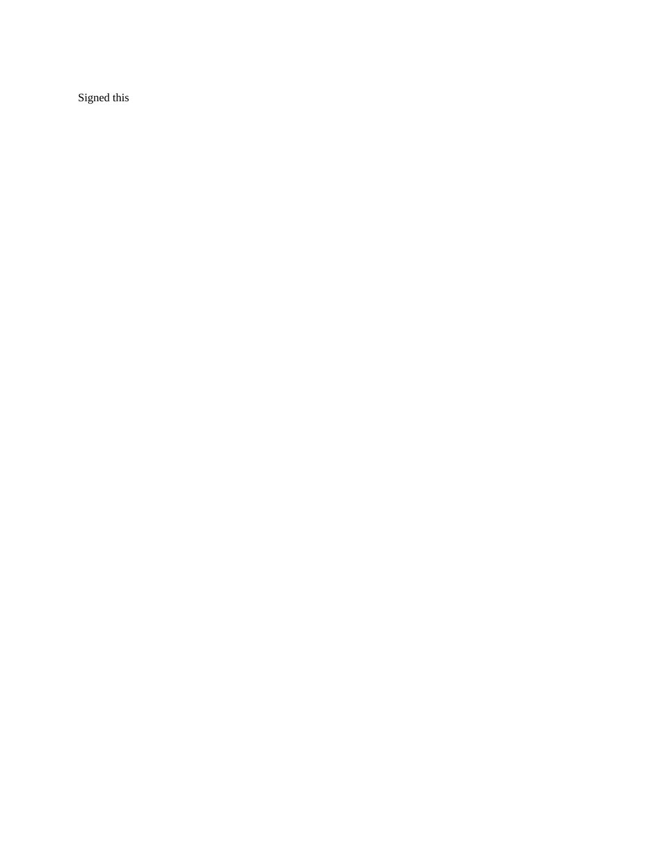Signed this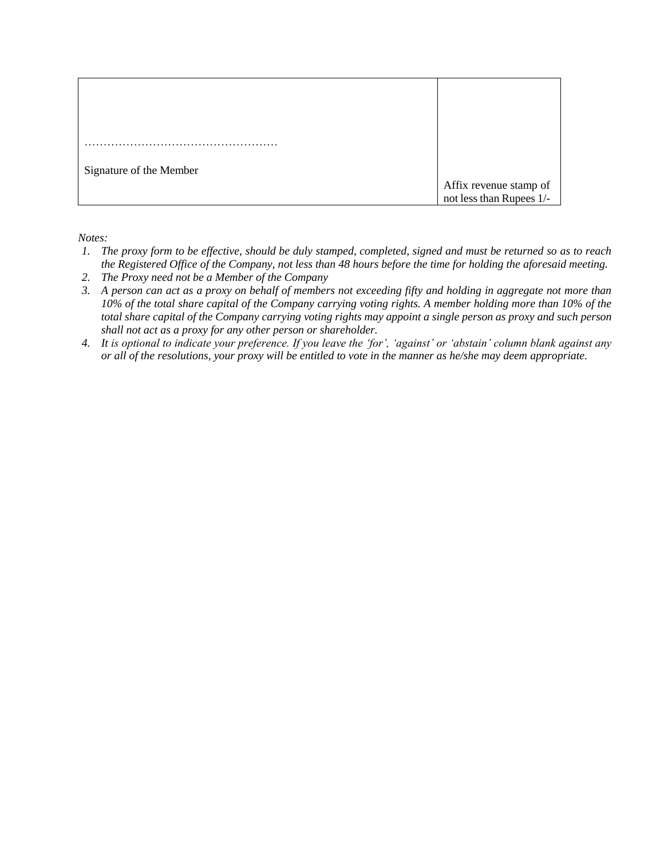| Signature of the Member |                                                    |
|-------------------------|----------------------------------------------------|
|                         | Affix revenue stamp of<br>not less than Rupees 1/- |

*Notes:*

- *1. The proxy form to be effective, should be duly stamped, completed, signed and must be returned so as to reach the Registered Office of the Company, not less than 48 hours before the time for holding the aforesaid meeting.*
- *2. The Proxy need not be a Member of the Company*
- *3. A person can act as a proxy on behalf of members not exceeding fifty and holding in aggregate not more than 10% of the total share capital of the Company carrying voting rights. A member holding more than 10% of the total share capital of the Company carrying voting rights may appoint a single person as proxy and such person shall not act as a proxy for any other person or shareholder.*
- *4. It is optional to indicate your preference. If you leave the 'for', 'against' or 'abstain' column blank against any or all of the resolutions, your proxy will be entitled to vote in the manner as he/she may deem appropriate.*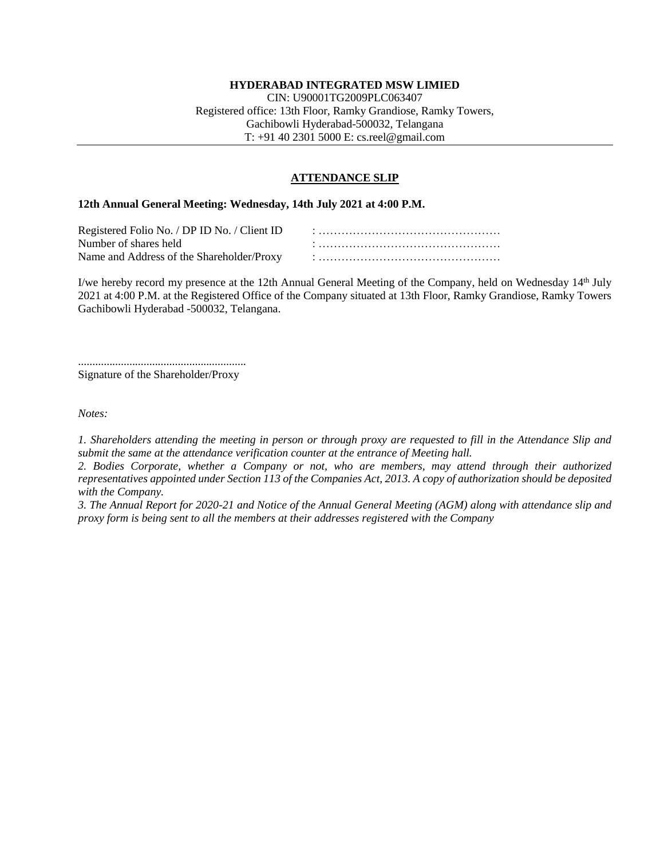## **HYDERABAD INTEGRATED MSW LIMIED**

CIN: U90001TG2009PLC063407 Registered office: 13th Floor, Ramky Grandiose, Ramky Towers, Gachibowli Hyderabad-500032, Telangana T: +91 40 2301 5000 E: cs.reel@gmail.com

#### **ATTENDANCE SLIP**

#### **12th Annual General Meeting: Wednesday, 14th July 2021 at 4:00 P.M.**

| Registered Folio No. / DP ID No. / Client ID |  |
|----------------------------------------------|--|
| Number of shares held                        |  |
|                                              |  |

I/we hereby record my presence at the 12th Annual General Meeting of the Company, held on Wednesday 14th July 2021 at 4:00 P.M. at the Registered Office of the Company situated at 13th Floor, Ramky Grandiose, Ramky Towers Gachibowli Hyderabad -500032, Telangana.

........................................................... Signature of the Shareholder/Proxy

*Notes:*

*1. Shareholders attending the meeting in person or through proxy are requested to fill in the Attendance Slip and submit the same at the attendance verification counter at the entrance of Meeting hall.*

*2. Bodies Corporate, whether a Company or not, who are members, may attend through their authorized representatives appointed under Section 113 of the Companies Act, 2013. A copy of authorization should be deposited with the Company.*

*3. The Annual Report for 2020-21 and Notice of the Annual General Meeting (AGM) along with attendance slip and proxy form is being sent to all the members at their addresses registered with the Company*